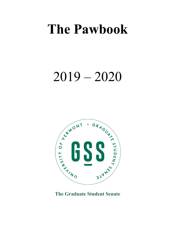# **The Pawbook**

# 2019 – 2020



**The Graduate Student Senate**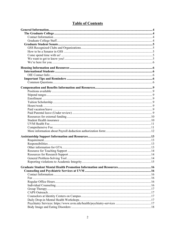# **Table of Contents**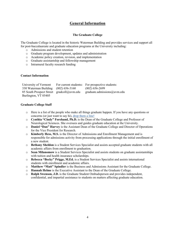# **General Information**

#### **The Graduate College**

The Graduate College is located in the historic Waterman Building and provides services and support all for post-baccalaureate and graduate education programs at the University including:

- o Admissions and student retention
- o Graduate program development, updates and administration
- o Academic policy creation, revision, and implementation
- o Graduate assistantship and fellowship management
- o Intramural faculty research funding

#### **Contact Information**

| University of Vermont                     | For current students: For prospective students: |
|-------------------------------------------|-------------------------------------------------|
| 330 Waterman Building (802) 656-3160      | $(802)$ 656-2699                                |
| 85 South Prospect Street gradcoll@uvm.edu | $graduate. admissions@uvw.edu$                  |
| Burlington, VT 05405                      |                                                 |

#### **Graduate College Staff**

- o Here is a list of the people who make all things graduate happen. If you have any questions or concerns (or just want to say hi), drop them a line!
- o **Cynthia "Cindy" Forehand, Ph.D.** is the Dean of the Graduate College and Professor of Neurological Sciences. She oversees and guides graduate education at the University.
- o **Daniel "Dan" Harvey** is the Assistant Dean of the Graduate College and Director of Operations for the Vice President for Research.
- o **Kimberly Hess, M.S.** is the Director of Admissions and Enrollment Management and is responsible for admissions activity from processing applications through the initial enrollment of a new student.
- o **Bethany Sheldon** is a Student Services Specialist and assists accepted graduate students with all academic affairs from enrollment to graduation.
- o **Sean Milanomow** is a Student Services Specialist and assists students on graduate assistantships with tuition and health insurance scholarships.
- o **Rebecca "Becky" Prigge, M.Ed.** is a Student Services Specialist and assists international students with enrollment and academic affairs.
- o **Matthew "Matt" Spindler** is the Business and Admissions Assistant for the Graduate College.
- o **Hannah Helme** is the Executive Assistant to the Dean of the Graduate College.
- o **Ralph Swenson, J.D.** is the Graduate Student Ombudsperson and provides independent, confidential, and impartial assistance to students on matters affecting graduate education.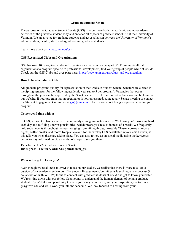#### **Graduate Student Senate**

The purpose of the Graduate Student Senate (GSS) is to cultivate both the academic and nonacademic activities of the graduate student body and enhance all aspects of graduate school life at the University of Vermont. We are a voice for graduate students and act as a liaison between the University of Vermont's administration, faculty, staff, undergraduate and graduate students.

Learn more about us: www.uvm.edu/gss

#### **GSS Recognized Clubs and Organizations**

GSS has over 10 recognized clubs and organizations that you can be apart of! From multicultural organizations to program specific to professional development, find your group of people while at UVM! Check out the GSS Clubs and orgs page here: https://www.uvm.edu/gss/clubs-and-organizations

#### **How to be a Senator in GSS**

All graduate programs qualify for representation in the Graduate Student Senate. Senators are elected in the Spring semester for the following academic year (up to 3 per program). Vacancies that occur throughout the year can be approved by the Senate as needed. The current list of Senators can be found on our website. If your program has an opening or is not represented, come to any Senate meeting or contact the Student Engagement Committee at  $gss@uvw$  to learn more about being a representative for your program!

#### **Come spend time with us!**

In GSS, we want to foster a sense of community among graduate students. We know you're working hard each day and fulfilling your responsibilities, which means you're also in need of a break! We frequently hold social events throughout the year, ranging from hiking through Ausable Chasm, cookouts, movie nights, coffee breaks, and more! Keep an eye out for the weekly GSS newsletter in your email inbox, as this tells you when these are taking place. You can also follow us on social media using the keywords below to stay informed on GSS events. We hope to see you there!

#### **Facebook:** UVM Graduate Student Senate **Instagram, Twitter, and Snapchat:** uvm\_gss

#### **We want to get to know you!**

Even though we're all here at UVM to focus on our studies, we realize that there is more to all of us outside of our academic endeavors. The Student Engagement Committee is launching a new podcast (in collaboration with WRUV) for us to connect with graduate students at UVM and get to know you better. We're sitting down with our fellow Catamounts to understand the human element of being a graduate student. If you'd like an opportunity to share your story, your work, and your inspiration, contact us at  $gss@$ uvm.edu and we'll work you into the schedule. We look forward to hearing from you!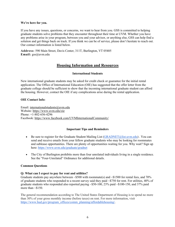#### **We're here for you.**

If you have any issues, questions, or concerns, we want to hear from you. GSS is committed to helping graduate students solve problems that they encounter throughout their time at UVM. Whether you have any problems arise in your program, between you and your advisor, or anything else, GSS can help find a solution and get things back on track. If you think we can be of service, please don't hesitate to reach out. Our contact information is listed below.

**Address:** 590 Main Street, Davis Center, 311T, Burlington, VT 05405 **Email:** gss@uvm.edu

# **Housing Information and Resources**

### **International Students**

New international graduate students may be asked for credit check or guarantee for the initial rental application. The Office of International Education (OIE) has suggested that the offer letter from the graduate college should be sufficient to show that the incoming international graduate student can afford the housing. However, contact the OIE if any complications arise during the rental application.

#### **OIE Contact Info:**

Email: internationalstudents@uvm.edu Website: https://www.uvm.edu/oie Phone: +1-802-656-4296 Facebook: https://www.facebook.com/UVMInternationalCommunity/

### **Important Tips and Reminders**

- Be sure to register for the Graduate Student Mailing List  $(GRADNET@list.uvm.edu)$ . You can send and receive emails from your fellow graduate students who may be looking for roommates and sublease opportunities. There are plenty of opportunities waiting for you. Why wait? Sign up here: https://www.uvm.edu/graduate/gradnet
- The City of Burlington prohibits more than four unrelated individuals living in a single residence. See the "Four-Unrelated" Ordinance for additional details.

### **Common Questions**

### **Q: What can I expect to pay for rent and utilities?**

Graduate students pay anywhere between  $\sim$ \$500 with roommate(s) and  $\sim$ \$1500 for rental fees, and 70% of graduate students who responded to a recent survey said they paid ~\$750 for rent. For utilities, 40% of graduate students who responded also reported paying ~\$50-100, 23% paid ~\$100-150, and 37% paid more than  $\sim$ \$150.

The general recommendation according to The United States Department of Housing is to spend no more than 30% of your gross monthly income (before taxes) on rent. For more information, visit https://www.hud.gov/program\_offices/comm\_planning/affordablehousing/.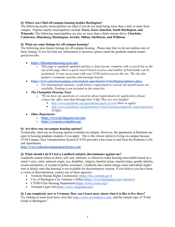### **Q: Where can I find off-campus housing besides Burlington?**

The following nearby municipalities are ideal if you do not mind being more than a mile or more from campus. Popular nearby municipalities include: **Essex, Essex Junction, South Burlington, and Winooski.** The following municipalities are also no more than a thirty-minute drive: **Charlotte, Colchester, Hinesburg, Huntington, Jericho, Milton, Shelburne, and Williston**.

#### **Q: What are some listings for off-campus housing?**

The following sites feature listings for off-campus housing. Please note that we do not endorse any of these listings. If you feel that any information is incorrect, please email the graduate student senate: gss@uvm.edu.

#### • **https://offcampushousing.uvm.edu/**

- o *This page is regularly updated and has a clean layout, complete with a search bar at the top of the page where a quick search based on price and number of beds/baths can be performed. Create an account with your UVM netid to access the site. The site also features roommate searches and message boards.*
- **https://www.americancampus.com/student-apartments/vt/burlington/spinner-place**
	- o *For international students, credit history requirement is waived. Six-month leases are available. Parking is not included in the rental fee.*
- *The Champlain Housing Trust*
	- o *\*If you have any questions or concerns about requirements for application, please contact the office and skim through their FAQ. They are very helpful!*
		- § *http://www.getahome.org/apartments/apply-to-rent (How to apply)*
		- § *http://www.getahome.org/apartments/rental-housing-frequently-asked-questions (FAQs)*
- *Other Repositories*
	- o **https://www.burlingtonrent.com/**
	- o **https://vermont.craigslist.org/**

#### **Q: Are there any on-campus housing options?**

Technically, there are no housing options available on campus. However, the apartments at Redstone are open to housing graduate students if you apply. This is the closest option to living on-campus because UVM Campus Area Transportation System (CATS) provides a bus route to and from the Redstone Lofts and Apartments.

**http://www.redstonecampusapartments.com/**

#### **Q: What should I do if I feel a Landlord unfairly discriminates against me?**

Landlords cannot refuse to show, sell, rent, sublease, or otherwise make housing unavailable based on a renter's race, color, national origin, sex, disability, religion, familial status, marital status, gender identity, sexual orientation, or receipt of public assistance. Landlords also cannot charge some individuals higher rent or falsely state that housing is not available for discriminatory reasons. If you believe you have been a victim of discrimination, contact one of these agencies:

- Vermont Human Rights Commission (https://hrc.vermont.gov/)
- City of Burlington City Attorney's Office (https://www.burlingtonvt.gov/attorney)
- CVOEO Fair Housing Department (https://www.cvoeo.org/)
- Vermont Legal Aid (https://www.vtlegalaid.org/)

#### **Q: I am completely new to Vermont. How can I learn more about what it is like to live there?**

Try looking at some local news sites like https://www.sevendaysvt.com/, and the annual copy of "Field Guide to Burlington".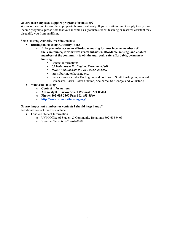#### **Q: Are there any local support programs for housing?**

We encourage you to visit the appropriate housing authority. If you are attempting to apply to any lowincome programs, please note that your income as a graduate student teaching or research assistant may disqualify you from qualifying.

Some Housing Authority Websites include:

- **Burlington Housing Authority (BHA)**
	- o **BHA promotes access to affordable housing for low- income members of the community, it prioritizes rental subsidies, affordable housing, and enables members of the community to obtain and retain safe, affordable, permanent housing.**
		- Contact information:
		- § *65 Main Street Burlington, Vermont, 05401*
		- § *Phone : 802-864-0538 Fax : 802-658-1286*
		- https://burlingtonhousing.org/
		- (Service area includes Burlington, and portions of South Burlington, Winooski, Colchester, Essex, Essex Junction, Shelburne, St. George, and Williston.)
- **Winooski Housing**
	- o **Contact information:**
	- o **Authority 83 Barlow Street Winooski, VT 05404**
	- o **Phone: 802-655-2360 Fax: 802-655-5540**
	- o **http://www.winooskihousing.org/**

#### **Q: Any important numbers or contacts I should keep handy?**

Additional contact numbers include:

- Landlord/Tenant Information
	- o UVM Office of Student & Community Relations: 802-656-9405
	- o Vermont Tenants: 802-864-0099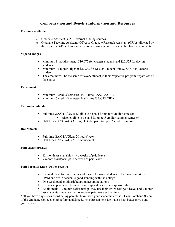# **Compensation and Benefits Information and Resources**

#### **Positions available**

- o Graduate Assistant (GA)- External funding sources.
- o Graduate Teaching Assistant (GTA) or Graduate Research Assistant (GRA)- allocated by the department/PI and are expected to perform teaching or research related assignments.

#### **Stipend ranges**

- Minimum 9-month stipend: \$16,675 for Masters students and \$20,525 for doctoral students.
- Minimum 12-month stipend: \$22,233 for Masters students and \$27,377 for doctoral students.
- § The amount will be the same for every student in their respective program, regardless of the source.

#### **Enrollment**

- § Minimum 9 credits/ semester- Full- time GA/GTA/GRA
- § Minimum 5 credits/ semester- Half- time GA/GTA/GRA

#### **Tuition Scholarship**

- Full time GA/GTA/GRA: Eligible to be paid for up to 9 credits/semester
	- Also, eligible to be paid for up to 5 credits/ summer semester
- Half time GA/GTA/GRA: Eligible to be paid for up to 6 credits/semester

#### **Hours/week**

- Full time GA/GTA/GRA: 20 hours/week
- Half time GA/GTA/GRA: 10 hours/week

#### **Paid vacation/leave**

- 12-month assistantships- two weeks of paid leave
- 9-month assistantships- one week of paid leave

#### **Paid Parental leave (Under review)**

- Parental leave for both parents who were full-time students in the prior semester at UVM and are in academic good standing with the college
- One-week paid childbirth/adoption accommodations
- § Six weeks paid leave from assistantship and academic responsibilities
- Additionally, 12-month assistantships may use their two weeks paid leave, and 9-month assistantships may use their one-week paid leave at that time.

\*\*If you have any issues coordinating parental leave with your academic advisor, Dean Forehand (Dean of the Graduate College; cynthia.forehand@med.uvm.edu) can help facilitate a plan between you and your advisor.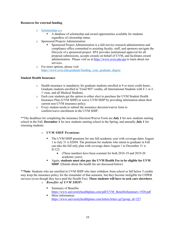#### **Resources for external funding**

- o Scholarships a-z
	- A database of scholarship and award opportunities available for students regardless of citizenship status.
- o Sponsored Projects Administration
	- § Sponsored Project Administration is a full-service research administration and compliance office committed to assisting faculty, staff, and sponsors navigate the lifecycle of a sponsored project. SPA provides institutional approval for all proposal submissions, accepts awards on behalf of UVM, and facilitates award administration. Please visit us at https://www.uvm.edu/spa to learn about our services.
- o For more options, please visit https://www.uvm.edu/graduate/funding\_your\_graduate\_degree

#### **Student Health Insurance**

- o Health insurance is mandatory for graduate students enrolled in 9 or more credit hours, Graduate students enrolled in "Grad 903" credits, all International Students with F-1 or J-1 visas, and all Medical Students.
- o Each year students get the option to either elect to purchase the UVM Student Health Insurance Plan (UVM SHIP) or waive UVM SHIP by providing information about their current non-UVM insurance policy.
- o Every student needs to submit the insurance decision/waiver form to confirm/waive enrollment in the UVM SHIP.

\*\*The deadlines for completing the insurance Decision/Waiver Form are **July 1** for new students starting school in the Fall, **December 1** for new students starting school in the Spring, and annually **July 1** for returning students.

### o **UVM SHIP Premium:**

- The UVM SHIP premium for one full academic year with coverage dates August 1 to July 31 is \$2694. The premium for students who intent to graduate in Fall can take the fall only plan with coverage dates August 1 to December 31 is \$1122.
	- (These numbers have been constant for both 2018-19 and 2019-20 academic years)
- § Again, **students must also pay the UVM Health Fee to be eligible for UVM SHIP**. (Details about the health fee are discussed below)

\*\***Note**: Students who are enrolled in UVM SHIP who later withdraw from school or fall below 5 credits may keep the insurance policy for the remainder of that semester, but they become ineligible for CHWB services (even though they have paid the Health Fee). **These students will have to seek care elsewhere**. o *Benefits of UVM SHIP:*

- Summary of Benefits: https://www.universityhealthplans.com/pdf/UVM\_BenefitsSummary-1920.pdf
- More information: https://www.universityhealthplans.com/letters/letter.cgi?group\_id=227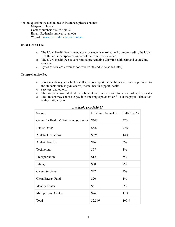For any questions related to health insurance, please contact: Margaret Johnson Contact number: 802-656-0602 Email: StudentInsurance@uvm.edu Website: www.uvm.edu/health/insurance

#### **UVM Health Fee**

- o The UVM Health Fee is mandatory for students enrolled in 9 or more credits, the UVM Health Fee is incorporated as part of the comprehensive fee.
- o The UVM Health Fee covers routine/preventative CHWB health care and counseling services.
- o Types of services covered/ not covered: (Need to be added later)

#### **Comprehensive Fee**

- $\circ$  It is a mandatory fee which is collected to support the facilities and services provided to the students such as gym access, mental health support, health
- o services, and others.
- o The comprehensive student fee is billed to all students prior to the start of each semester.
- o The student may choose to pay it in one single payment or fill out the payroll deduction authorization form

| Source                               | Full-Time Annual Fee | Full-Time % |
|--------------------------------------|----------------------|-------------|
| Center for Health & Wellbeing (CHWB) | \$743                | 32%         |
| Davis Center                         | \$622                | 27%         |
| <b>Athletic Operations</b>           | \$326                | 14%         |
| <b>Athletic Facility</b>             | \$76                 | 3%          |
| Technology                           | \$77                 | 3%          |
| Transportation                       | \$120                | 5%          |
| Library                              | \$50                 | $2\%$       |
| <b>Career Services</b>               | \$47                 | $2\%$       |
| Clean Energy Fund                    | \$20                 | $1\%$       |
| <b>Identity Center</b>               | \$5                  | $0\%$       |
| Multipurpose Center                  | \$260                | 11%         |
| Total                                | \$2,346              | 100%        |

*Academic year 2020-21*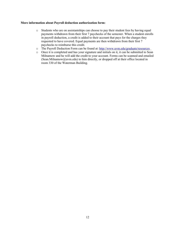#### **More information about Payroll deduction authorization form:**

- o Students who are on assistantships can choose to pay their student fees by having equal payments withdrawn from their first 7 paychecks of the semester. When a student enrolls in payroll deduction, a credit is added to their account that pays for the charges they requested to have covered. Equal payments are then withdrawn from their first 7 paychecks to reimburse this credit.
- o The Payroll Deduction Form can be found at: http://www.uvm.edu/graduate/resources
- o Once it is completed and has your signature and initials on it, it can be submitted to Sean Milnamow and he will add the credit to your account. Forms can be scanned and emailed (Sean.Milnamow@uvm.edu) to him directly, or dropped off at their office located in room 330 of the Waterman Building.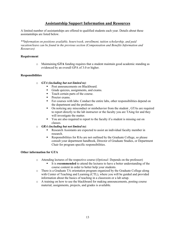# **Assistantship Support Information and Resources**

A limited number of assistantships are offered to qualified students each year. Details about these assistantships are listed below.

*\*\*Information on positions available, hours/week, enrollment, tuition scholarship, and paid vacation/leave can be found in the previous section (Compensation and Benefits Information and Resources)*

#### **Requirement**

o Maintaining **GTA** funding requires that a student maintain good academic standing as evidenced by an overall GPA of 3.0 or higher.

#### **Responsibilities**

- o *GTA (including but not limited to)*:
	- Post announcements on Blackboard.
	- Grade quizzes, assignments, and exams.
	- Teach certain parts of the course.
	- Proctor exams.
	- For courses with labs: Conduct the entire labs, other responsibilities depend on the department and the professor.
	- On noticing any misconduct or misbehavior from the student, GTAs are required to report directly to the lab instructor or the faculty you are TAing for and they will investigate the matter.
	- You are also required to report to the faculty if a student is missing out on classes.
- o *GRA (including but not limited to)*:
	- Research Assistants are expected to assist an individual faculty member in research.
	- § Responsibilities for RAs are not outlined by the Graduate College, so please consult your department handbook, Director of Graduate Studies, or Department Chair for program specific responsibilities.

### **Other information for GTA**

- o Attending lectures of the respective course (*Optional-* Depends on the professor)
	- It is **recommended** to attend the lectures to have a better understanding of the course content in order to better help your students.
- o There is a Graduate TA orientation program organized by the Graduate College along with Center of Teaching and Learning (CTL), where you will be guided and provided information about the basics of teaching in a classroom or a lab setup.
- o A training on how to use the blackboard for making announcements, posting course material, assignments, projects, and grades is available.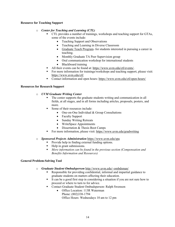#### **Resource for Teaching Support**

#### o *Center for Teaching and Learning (CTL)*

- § CTL provides a number of trainings, workshops and teaching support for GTAs, some of the events include:
	- Teaching Support and Observations
	- Teaching and Learning in Diverse Classroom
	- Graduate Teach Program- for students interested in pursuing a career in teaching.
	- Monthly Graduate TA Peer Supervision group
	- Oral communication workshop for international students
	- Blackboard training
- All their events can be found at: https://www.uvm.edu/ctl/events/.
- For more information for trainings/workshops and teaching support, please visit: https://www.uvm.edu/ctl/
- Contact information and open hours: https://www.uvm.edu/ctl/open-hours/

#### **Resources for Research Support**

#### o *UVM Graduate Writing Center*

- The center supports the graduate students writing and communication in all fields, at all stages, and in all forms including articles, proposals, posters, and more.
- § Some of their resources include:
	- One-on-One Individual & Group Consultations
	- Faculty Support
	- Sunday Writing Retreats
	- WriteSpace Appointments
	- Dissertation & Thesis Boot Camps
- For more information, please visit: https://www.uvm.edu/gradwriting

#### o *Sponsored Projects Administration* https://www.uvm.edu/spa

- Provide help in finding external funding options.
- Help in grant submissions.
- § *More information can be found in the previous section (Compensation and Benefits Information and Resources)*

#### **General Problem-Solving Tool**

- o *Graduate Student Ombudsperson* http://www.uvm.edu/~ombdsman/
	- Responsible for providing confidential, informal and impartial guidance to graduate students on matters affecting their education.
	- It can be a good first step in considering a situation if you are not sure how to proceed or where to turn to for advice.
	- Contact Graduate Student Ombudsperson- Ralph Swenson
		- Office Location: 113R Waterman Phone: (802)338-1794 Office Hours: Wednesdays 10 am to 12 pm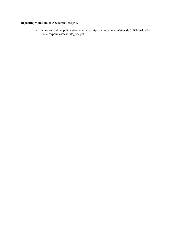### **Reporting violations to Academic Integrity**

o You can find the policy statement here: https://www.uvm.edu/sites/default/files/UVM-Policies/policies/acadintegrity.pdf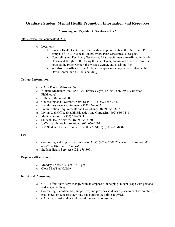# **Graduate Student Mental Health Promotion Information and Resources**

#### **Counseling and Psychiatric Services at UVM**

#### https://www.uvm.edu/health/CAPS

- o Locations:
	- § Student Health Center: we offer medical appointments in the One South Prospect campus of UVM Medical Center, where Pearl Street meets Prospect.
	- Counseling and Psychiatry Services: CAPS appointments are offered in Jacobs House and Wright Hall. During the school year, counselors also offer drop-in hours at the Prism Center, the Mosaic Center, and at Living Well.
	- We also have offices in the Athletics complex (serving student athletes), the Davis Center, and the Hills building.

#### **Contact Information**

- o CAPS Phone: 802-656-3340
- o Athletic Medicine: (802) 656-7750 (Patrick Gym) or (802) 656-9951 (Gutterson Fieldhouse)
- o Billing: (802) 656-8509
- o Counseling and Psychiatry Services (CAPS): (802) 656-3340
- o Health Insurance Requirement: (802) 656-0602
- o Immunization Requirements and Compliance: (802) 656-0602
- o Living Well Office (Health Education and Outreach): (802) 656-0441
- o Medical Records: (802) 656-3303
- o Student Health Services: (802) 656-3350
- o UVM Health Fee Information: (802) 656-0602
- o VM Student Health Insurance Plan (UVM SHIP): (802) 656-0602

#### **Fax**

- o Counseling and Psychiatry Services (CAPS): (802) 656-8022 (Jacob's House) or 802- 656-9537 (Redstone Campus)
- o Student Health Services (802) 656-8001

#### **Regular Office Hours**

- o Monday-Friday 8:30 am 4:30 pm
- o Closed Sat/Sun/Holiday

#### **Individual Counseling**

- o CAPS offers short-term therapy with an emphasis on helping students cope with personal and academic lives.
- o Counseling is confidential, supportive, and provides students a place to explore emotions, challenges, or concerns they may have during their time at UVM.
- o CAPS can assist students who need long-term counseling.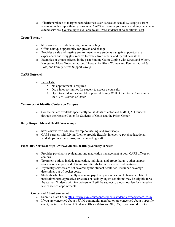o If barriers related to marginalized identities, such as race or sexuality, keep you from accessing off-campus therapy resources, CAPS will assess your needs and may be able to extend services. Counseling is available to all UVM students at no additional cost.

#### **Group Therapy**

- o https://www.uvm.edu/health/group-counseling
- o Offers a unique opportunity for growth and change
- o Provides a safe and trusting environment where students can gain support, share experiences and struggles, receive feedback from others, and try out new skills
- o Examples of groups offered in the past: Finding Calm: Coping with Stress and Worry, Navigating Mood Together, Group Therapy for Black Women and Femmes, Grief & Loss, and Family Stress Support Group.

### **CAPS Outreach**

- o Let's Talk
	- No appointment is required
	- Drop-in opportunities for student to access a counselor
	- § Open to all identities and takes place at Living Well at the Davis Center and at the UVM Women's Center.

#### **Counselors at Identity Centers on Campus**

o Counselors are available specifically for students of color and LGBTQAI+ students through the Mosaic Center for Students of Color and the Prism Center

#### **Daily Drop-in Mental Health Workshops**

- o https://www.uvm.edu/health/drop-counseling-and-workshops
- o CAPS partners with Living Well to provide flexible, interactive psychoeducational workshops on a daily basis, with counseling staff.

#### **Psychiatry Services: https://www.uvm.edu/health/psychiatry-services**

- o Provides psychiatric evaluations and medication management at both CAPS offices on campus
- o Treatment options include medication, individual and group therapy, other support services on campus, and off-campus referrals for more specialized treatment.
- o Psychiatry services are not covered by the student health fee. Insurance coverage determines out-of-pocket costs.
- o Students who have difficulty accessing psychiatry resources due to barriers related to institutionalized oppressive structures or socially unjust conditions may be eligible for a fee waiver. Students with fee waivers will still be subject to a no-show fee for missed or late cancelled appointments.

#### **Concerned About Someone?**

- o Submit a Care Form https://www.uvm.edu/deanofstudents/student\_advocacy/care\_form
- o If you are concerned about a UVM community member or are concerned about a specific event, contact the Dean of Students Office (802-656-3380). Or, if you would like to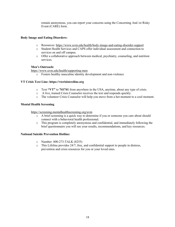remain anonymous, you can report your concerns using the Concerning And /or Risky Event (CARE) form.

#### **Body Image and Eating Disorders:**

- o Resources: https://www.uvm.edu/health/body-image-and-eating-disorder-support
- o Student Health Services and CAPS offer individual assessment and connection to services on and off campus.
- o Offer a collaborative approach between medical, psychiatry, counseling, and nutrition services.

#### **Men's Outreach:**

https://www.uvm.edu/health/supporting-men

o Fosters healthy masculine identity development and non-violence

#### **VT Crisis Text Line: https://vtcrisistextline.org**

- o Text **"VT"** to **741741** from anywhere in the USA, anytime, about any type of crisis.
- o A live, trained Crisis Counselor receives the text and responds quickly.
- o The volunteer Crisis Counselor will help you move from a hot moment to a cool moment.

#### **Mental Health Screening**

#### https://screening.mentalhealthscreening.org/uvm

- o A brief screening is a quick way to determine if you or someone you care about should connect with a behavioral health professional.
- o This program is completely anonymous and confidential, and immediately following the brief questionnaire you will see your results, recommendations, and key resources.

#### **National Suicide Prevention Hotline:**

- o Number: 800-273-TALK (8255)
- $\circ$  This Lifeline provides 24/7, free, and confidential support to people in distress, prevention and crisis resources for you or your loved ones.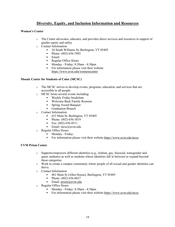# **Diversity, Equity, and Inclusion Information and Resources**

#### **Women's Center**

- o The Center advocates, educates, and provides direct services and resources in support of gender equity and safety
- o Contact Information
	- 34 South Williams St, Burlington, VT 05405
	- Phone: (802) 656-7892
	- Email:
	- Regular Office Hours
	- § Monday Friday: 8:30am 4:30pm
	- For information please visit their website https://www.uvm.edu/womenscenter

#### **Mosaic Center for Students of Color (MCSC)**

- o The MCSC strives to develop events, programs, education, and services that are accessible to all people
- o MCSC hosts several events including:
	- Weekly Friday breakfasts
	- Welcome Back Family Reunion
	- Spring Award Banquet
	- Graduation Brunch
- o Contact Information
	- § 633 Main St, Burlington, VT 05405
	- Phone: (802) 656-3819
	- Fax:  $(802)$  656-8511
	- Email: mcsc@uvm.edu
- o Regular Office Hours
	- Monday Friday:
	- § For information please visit their website https://www.uvm.edu/mcsc

#### **UVM Prism Center**

- o Supports/empowers different identities (e.g., lesbian, gay, bisexual, transgender and queer students) as well as students whose identities fall in between or expand beyond those categories.
- o Work to create a campus community where people of all sexual and gender identities can thrive.
- o Contact Information
	- 461 Main St (Allen House), Burlington, VT 05405
	- Phone: (802) 656-8637
	- **Email:** prism@uvm.edu
- o Regular Office Hours
	- § Monday Friday: 8:30am 4:30pm
	- For information please visit their website https://www.uvm.edu/mcsc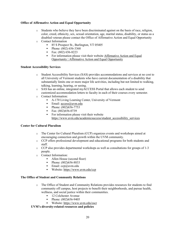### **Office of Affirmative Action and Equal Opportunity**

- o Students who believe they have been discriminated against on the basis of race, religion, color, creed, ethnicity, sex, sexual orientation, age, marital status, disability, or status as a disabled veteran please contact the Office of Affirmative Action and Equal Opportunity
- o Contact Information
	- 85 S Prospect St., Burlington, VT 05405
	- Phone: (802) 656-3368
	- § Fax: (802) 656-8223
	- For information please visit their website Affirmative Action and Equal Opportunity | Affirmative Action and Equal Opportunity

#### **Student Accessibility Services**

- o Student Accessibility Services (SAS) provides accommodations and services at no cost to all University of Vermont students who have current documentation of a disability that substantially limits one or more major life activities, including but not limited to walking, talking, learning, hearing, or seeing.
- o SAS has an online, integrated myACCESS Portal that allows each student to send customized accommodation letters to faculty in each of their courses every semester.
- o Contact Information:
	- A-170 Living Learning Center, University of Vermont
	- Email:  $\arccos(a)$ uvm.edu
	- Phone: (802)656-7753
	- § Fax: (802)656-0739
	- For information please visit their website https://www.uvm.edu/academicsuccess/student\_accessibility\_services

#### **Center for Cultural Pluralism**

- o The Center for Cultural Pluralism (CCP) organizes events and workshops aimed at encouraging connection and growth within the UVM community.
- o CCP offers professional development and educational programs for both students and staff.
- o CCP also provides departmental workshops as well as consultations for groups of 1-3 people.
- o Contact Information:
	- Allen House (second floor)
	- Phone: (802)656-8833
	- Email:  $ccp(\omega)$ uvm.edu
	- Website: https://www.uvm.edu/ccp

#### **The Office of Student and Community Relations**

- o The Office of Student and Community Relations provides resources for students to find community off campus, host projects to benefit their neighborhoods, and pursue health, wellness, and social justice within their communities.
	- 12 Colchester Avenue
	- Phone: (802)656-9405
- Website: https://www.uvm.edu/oscr

### **UVM's diversity-related resources and policies**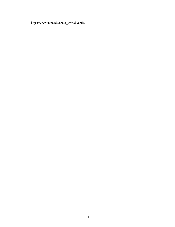https://www.uvm.edu/about\_uvm/diversity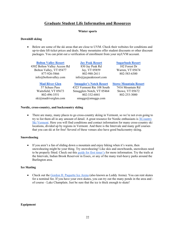# **Graduate Student Life Information and Resources**

#### **Winter sports**

#### **Downhill skiing**

• Below are some of the ski areas that are close to UVM. Check their websites for conditions and up-to-date lift ticket prices and deals. Many mountains offer student discounts or other discount packages. You can print out a verification of enrollment from your myUVM account.

**Bolton Valley Resort** 4302 Bolton Valley Access Rd Bolton Valley, VT 05477 877-926-5866 info@boltonvalley.com

**Jay Peak Resort** 830 Jay Peak Rd Jay, VT 05859 802-988-2611 info@jaypeakresort.com

#### **Mad River Glen**

57 Schuss Pass Waitsfield, VT 05673 802-496-3551 ski@madriverglen.com

**Smuggler's Notch Resort** 4323 Vermont Rte 108 South Smugglers Notch, VT 05464 802-332-6841

 $smuggs(\omega)$ smuggs.com

**Sugarbush Resort** 102 Forest Dr Warren, VT 05674 802-583-6300

**Stowe Mountain Resort**

7416 Mountain Rd Stowe, VT 05672 802-253-3000

#### **Nordic, cross-country, and backcountry skiing**

• There are many, many places to go cross-country skiing in Vermont, so we're not even going to try to list them all in any amount of detail. A great resource for Nordic enthusiasts is XCountry Ski Vermont. Here you will find conditions and contact information for many cross-country ski locations, divided up by regions in Vermont. And there is the Intervale and many golf courses that you can ski at for free! Several of these venues also have good backcountry skiing.

#### **Snowshoeing**

• If you aren't a fan of sliding down a mountain and enjoy hiking when it's warm, then snowshoeing might be your thing. Try snowshoeing! Like skis and snowboards, snowshoes need to be properly fitted. Check out this guide for first timer's for more information. Try the trails at the Intervale, Indian Brook Reservoir in Essex, or any of the many trail-heavy parks around the Burlington area.

#### **Ice Skating**

• Check out the Gordon H. Paquette Ice Arena (also known as Leddy Arena). You can rent skates for a nominal fee. If you have your own skates, you can try out the many ponds in the area and of course - Lake Champlain. Just be sure that the ice is thick enough to skate!

#### **Equipment**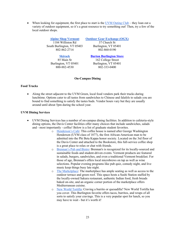• When looking for equipment, the first place to start is the UVM Outing Club – they loan out a variety of outdoor equipment, so it's a great resource to try something out! Then, try a few of the local outdoor shops.

> **Alpine Shop Vermont** 1184 Williston Rd South Burlington, VT 05403 802-862-2714

**Outdoor Gear Exchange (OGX)**

37 Church St Burlington, VT 05401 802-860-0190

**Skirack** 85 Main St Burlington, VT 05401 800-882-4530

**Burton Burlington Store**

162 College Street Burlington, VT 05401 802-333-0400

#### **On-Campus Dining**

#### **Food Trucks**

• Along the street adjacent to the UVM Green, local food vendors park their trucks during lunchtime. Options cater to all tastes from sandwiches to Chinese and falafels to salads you are bound to find something to satisfy the tastes buds. Vendor hours vary but they are usually around until about 5pm during the school year.

#### **UVM Dining Services**

- UVM Dining Services has a number of on-campus dining facilities. In addition to cafeteria-style dining options, the Davis Center facilities offer many choices that include sandwiches, salads and - most importantly - coffee! Below is a list of graduate student favorites.
	- o Henderson's Cafe: This coffee house is named after George Washington Henderson (UVM class of 1877), the first African-American man to be admitted into the Phi Beta Kappa honor society. Located on the 3rd floor of the Davis Center and attached to the Bookstore, this full-service coffee shop is a great place to relax or chat with friends.
	- o Brennan's Pub and Bistro: Brennan's is recognized for its locally-sourced and sustainable foods and student-driven events. Vermont products are featured in salads, burgers, sandwiches, and even a traditional Vermont breakfast. For those of age, Brennan's offers local microbrews on tap as well as wine selections. Popular evening programs like pub quiz, comedy night, and live music keep things busy late night.
	- o The Marketplace: The marketplace has ample seating as well as access to the outdoor terrace and green roof. This space hosts a Sushi Station staffed by the locally-owned Sakura restaurant, authentic Indian food, fresh breads baked on-site, and an organic corner portion of the marketplace offers Mediterranean cuisine.
	- o New World Tortilla: Craving a burrito or quesadilla? New World Tortilla has you cover. This Burlington favorite offers tacos, burritos, and wraps of all sorts to satisfy your cravings. This is a very popular spot for lunch, so you may have to wait - but it's worth it!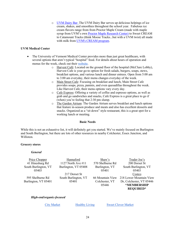o UVM Dairy Bar: The UVM Dairy Bar serves up delicious helpings of ice cream, shakes, and smoothies throughout the school year. Fabulous ice cream flavors range from from Proctor Maple Cream (made with maple syrup from UVM's own Proctor Maple Research Center) to Sweet CREAM to Catamount Tracks (think Moose Tracks...but with a UVM twist) all made with milk from UVM's CREAM program.

#### **UVM Medical Center**

- The University of Vermont Medical Center provides more than just great healthcare, with several options that aren't typical "hospital" food. For details about hours of operation and menus for the week, check out their website.
	- o Harvest Café: Located on the ground floor of the hospital (McClure Lobby), Harvest Cafe is your go-to option for fresh salads, burgers, soups, stews, breakfast options, and various lunch and dinner entrees. Open from 5:00 am to 3:00 am everyday, their menu changes everyday of the week.
	- o Main Street Cafe: Focusing on breakfast and lunch, Main Street Cafe provides soups, pizza, paninis, and even quesadillas throughout the week. Like Harvest Cafe, their menu options vary every day.
	- o Cafe Express: Offering a variety of coffee and espresso options, as well as grab and go sandwiches and snacks, Cafe Express is a great place to go if (when) you're feeling that 2:30 pm slump.
	- o The Garden Atrium: The Garden Atrium serves breakfast and lunch options that feature in-season produce and meats and also has excellent desserts and snacks. Organized as a "sit down" style restaurant, this is a great spot for a working lunch or meeting.

#### **Basic Needs**

While this is not an exhaustive list, it will definitely get you started. We've mainly focused on Burlington and South Burlington, but there are lots of other resources in nearby Colchester, Essex Junction, and Williston.

#### **Grocery stores**

#### *General*

Price Chopper 41 Hinesburg Rd South Burlington, VT 05403

Hannaford 1127 North Ave #11 Burlington, VT 05408

595 Shelburne Rd Burlington, VT 05401

217 Dorset St South Burlington, VT 05401

570 Shelburne Rd Burlington, VT 05401 Colchester, VT 05446

Shaw's

66 Mountain View 218 Lower Mountain View Trader Joe's 200 Dorset St South Burlington, VT 05403 **Costco** Dr, Colchester, VT 05446 **\*MEMBERSHIP REQUIRED\***

#### *High-end/organic-focused*

City Market Healthy Living Sweet Clover Market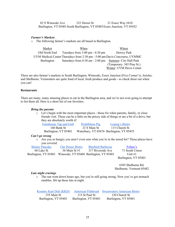82 S Winooski Ave Burlington, VT 05401 South Burlington, VT 05403 Essex Junction, VT 05452 222 Dorset St 21 Essex Way #418

#### *Farmer's Markets*

o The following farmer's markets are all based in Burlington.

Market When When Where Old North End Tuesdays from 3:00 pm - 6:30 pm Dewey Park UVM Medical Center Thursdays from 2:30 pm - 5:00 pm Davis Concourse, UVMMC Burlington Saturdays from 8:30 am - 2:00 pm Summer: City Hall Park (Temporary: 345 Pine St.) Winter: UVM Davis Center

There are also farmer's markets in South Burlington, Winooski, Essex Junction (Five Corner's), Jericho, and Shelburne. Vermonters are quite fond of local, fresh produce and goods - so check these out when you can!

#### **Restaurants**

There are many, many amazing places to eat in the Burlington area, and we're not even going to attempt to list them all. Here is a short list of our favorites.

#### *Bring the parents*

o Let's begin with the most important places - those for when parents, family, or close friends visit. These can be a little on the pricey side of things or are a bit of a drive, but they are absolutely worth it!

| Farmhouse Tap and Grill | <b>Prohibition Pig</b> | Leunig's Bistro                          |
|-------------------------|------------------------|------------------------------------------|
| 160 Bank St             | 23 S Main St           | 115 Church St                            |
| Burlington, VT 05401    |                        | Waterbury, VT 05676 Burlington, VT 05455 |

#### *Can't go wrong*

o Are you so hungry you aren't even sure what you're in the mood for? These places have you covered.

| <b>Skinny Pancake</b>                                        | <b>Our House Bistro</b> | <b>Bluebird Barbecue</b> | Folino's             |
|--------------------------------------------------------------|-------------------------|--------------------------|----------------------|
| 60 Lake St                                                   | 36 Main St $\#1$        | 317 Riverside Ave        | 71 South Union       |
| Burlington, VT 05401 Winooski, VT 05404 Burlington, VT 05401 |                         |                          | Unit $#1$            |
|                                                              |                         |                          | Burlington, VT 05401 |

6305 Shelburne Rd. Shelburne, Vermont 05482

#### *Late night cravings*

o The sun went down hours ago, but you're still going strong. Now you've got stomach rumbles. Hit up these late at night.

| Kountry Kart Deli (KKD) |                      | American Flatbread Sweetwaters American Bistro |
|-------------------------|----------------------|------------------------------------------------|
| 155 Main St             | 115 St Paul St       | 120 Church St                                  |
| Burlington, VT 05401    | Burlington, VT 05401 | Burlington, VT 05401                           |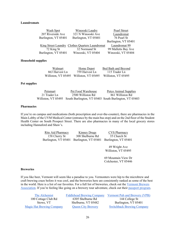#### **Laundromats**

| Winooski Laudry<br>Wash Spot                    | Pearl Street         |
|-------------------------------------------------|----------------------|
| 207 Riverside Ave<br>321 N Winooski Ave         | Laundromat           |
| Burlington, VT 05401<br>Burlington, VT 05401    | 76 Pearl St          |
|                                                 | Burlington, VT 05401 |
| King Street Laundry Clothes Quarters Laundromat | Laundromat 99        |
| 72 King St<br>32 Normand St                     | 99 Malletts Bay Ave  |
| Burlington, VT 05401<br>Winooski, VT 05404      | Winooski, VT 05404   |

#### **Household supplies**

| Walmart        | Home Depot                              | Bed Bath and Beyond |
|----------------|-----------------------------------------|---------------------|
| 863 Harvest Ln | 759 Harvest Ln                          | 115 Trader Ln       |
|                | Williston, VT 05495 Williston, VT 05495 | Williston, VT 05495 |

#### **Pet supplies**

| Petsmart     | Pet Food Warehouse                                                        | Petco Animal Supplies |
|--------------|---------------------------------------------------------------------------|-----------------------|
| 21 Trader Ln | 2500 Williston Rd                                                         | 861 Williston Rd      |
|              | Williston, VT 05495 South Burlington, VT 05403 South Burlington, VT 05403 |                       |

#### **Pharmacies**

If you're on campus and medications (both prescription and over-the-counter), there are pharmacies in the Main Lobby of the UVM Medical Center (entrance by the main bus stop) and on the 2nd floor of the Student Health Center on South Prospect Street. There are also pharmacies in many of the local grocery stores including Hannaford and Shaw's.

| Rite Aid Pharmacy | <b>Kinney Drugs</b>                                            | <b>CVS Pharmacy</b> |
|-------------------|----------------------------------------------------------------|---------------------|
| 158 Cherry St     | 308 Shelburne Rd                                               | 35 Church St        |
|                   | Burlington, VT 05401 Burlington, VT 05401 Burlington, VT 05401 |                     |

49 Wright Ave Williston, VT 05495

69 Mountain View Dr Colchester, VT 05446

#### **Breweries**

If you like beer, Vermont will seem like a paradise to you. Vermonters were hip to the microbrew and craft brewing craze before it was cool, and the breweries here are consistently ranked as some of the best in the world. Here is a list of our favorites. For a full list of breweries, check out the Vermont Brewers Association. If you're feeling like going on a brewery tour adventure, check out their passport program.

| The Alchemist                    | <b>Fiddlehead Brewing Company</b> | Vermont Pub and Brewery (VPB)     |
|----------------------------------|-----------------------------------|-----------------------------------|
| 100 Cottage Club Rd              | 6305 Shelburne Rd                 | 144 College St                    |
| Stowe, VT                        | Shelburne, VT 05482               | Burlington, VT 05401              |
| <b>Magic Hat Brewing Company</b> | <b>Queen City Brewery</b>         | <b>Switchback Brewing Company</b> |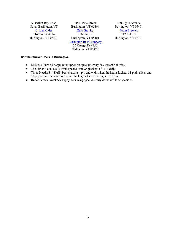5 Bartlett Bay Road South Burlington, VT Citizen Cider 316 Pine St #114 Burlington, VT 05401

703B Pine Street Burlington, VT 05404 **Zero Gravity** 

716 Pine St Burlington, VT 05401

Burlington Beer Company

25 Omega Dr #150 Williston, VT 05495

160 Flynn Avenue Burlington, VT 05401 Foam Brewers 112 Lake St

Burlington, VT 05401

#### **Bar/Restaurant Deals in Burlington:**

- McKee's Pub: \$5 happy hour appetizer specials every day except Saturday
- The Other Place: Daily drink specials and \$5 pitchers of PBR daily
- Three Needs: \$1 "Duff" beer starts at 4 pm and ends when the keg is kicked. \$1 plain slices and \$2 pepperoni slices of pizza after the keg kicks or starting at 5:30 pm.
- Ruben James: Weekday happy hour wing special. Daily drink and food specials.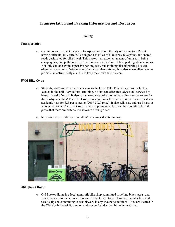# **Transportation and Parking Information and Resources**

#### **Cycling**

#### **Transportation**

o Cycling is an excellent means of transportation about the city of Burlington. Despite having difficult, hilly terrain, Burlington has miles of bike lanes, bike paths, and shared roads designated for bike travel. This makes it an excellent means of transport, being cheap, quick, and pollution-free. There is rarely a shortage of bike parking about campus. Not only can one avoid expensive parking fees, but avoiding distant parking lots can often make cycling a faster means of transport than driving. It is also an excellent way to promote an active lifestyle and help keep the environment clean.

#### **UVM Bike Co-op**

- o Students, staff, and faculty have access to the UVM Bike Education Co-op, which is located in the Hills Agricultural Building. Volunteers offer free advice and service for bikes in need of repair. It also has an extensive collection of tools that are free to use for the do-it-yourselfers! The Bike Co-op rents out bikes for students to use for a semester or academic year for \$25 per semester (2019-2020 price). It also sells new and used parts at wholesale prices. The Bike Co-op is here to promote a clean and healthy lifestyle and prove that there are better alternatives to driving a car.
- o https://www.uvm.edu/transportation/uvm-bike-education-co-op



#### **Old Spokes Home**

o Old Spokes Home is a local nonprofit bike shop committed to selling bikes, parts, and service at an affordable price. It is an excellent place to purchase a commuter bike and receive tips on commuting to school/work in any weather conditions. They are located in the Old North End of Burlington and can be found at the following website: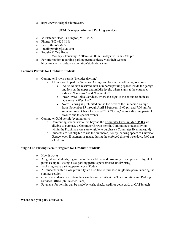o https://www.oldspokeshome.com/

### **UVM Transportation and Parking Services**

- o 38 Fletcher Place, Burlington, VT 05405
- o Phone: (802) 656-8686
- $\circ$  Fax: (802) 656-6550
- $\circ$  Email: parking@uvm.edu
- o Regular Office Hours
	- o Monday Thursday: 7:30am 4:00pm, Fridays: 7:30am 3:00pm
- o For information regarding parking permits please visit their website https://www.uvm.edu/transportation/student-parking

#### **Common Permits for Graduate Students**

- o Commuter Brown permit (includes daytime)
	- § Allows you to park in Gutterson Garage and lots in the following locations:
		- All valid, non-reserved, non-numbered parking spaces inside the garage and lots on the upper and middle levels, where signs at the entrances indicate "Gutterson" and "Commuter"
		- Near UVM Police Services, where the signs at the entrances indicate "Catamount West Lot"
		- Note: Parking is prohibited on the top deck of the Gutterson Garage from November 15 through April 1 between 11:00 pm and 7:00 am for snow removal. Check for posted "Lot Closing" signs indicating partial lot closure due to special events.
- o Commuter Gold permit (evening only)
	- Commuting students who live beyond the Commuter Evening Map (PDF) are eligible to purchase a Commuter Brown permit. Commuting students living within the Proximate Area are eligible to purchase a Commuter Evening (gold)
		- § Students are not eligible to use the numbered, hourly, parking spaces at Gutterson Garage, even if payment is made, during the enforced time of weekdays, 7:00 am - 3:30 pm

#### **Single-Use Parking Permit Program for Graduate Students**

- o How it works:
- o All graduate students, regardless of their address and proximity to campus, are eligible to purchase up to 10 single-use parking permits per semester (Fall/Spring)
- o Each single-use parking permit costs \$2/day.
- o All students within close proximity are also free to purchase single-use permits during the summer session
- o Graduate students can obtain their single-use permits at the Transportation and Parking Services Office (38 Fletcher Place)
- o Payments for permits can be made by cash, check, credit or debit card, or CAT\$cratch

**Where can you park after 3:30?**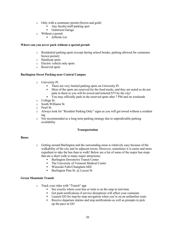- o Only with a commuter permit (brown and gold)
	- § Any faculty/staff parking spot
	- Gutterson Garage
- o Without a permit
	- Jeffords Lot

#### **Where can you never park without a special permit**

- o Residential parking spots (except during school breaks, parking allowed for commuter brown permit)
- o Handicap spots
- o Electric vehicle only spots
- o Reserved spots

#### **Burlington Street Parking near Central Campus**

- o University Pl.
	- There are very limited parking spots on University Pl.
	- Most of the spots are reserved for the food trucks, and they are noted so do not park in them or you will be towed and ticketed \$75 by the city!
	- § You may officially park in the reserved spots after 7 PM and on weekends
- o College St.
- o South Williams St.
- o Pearl St.
- o Always look for "Resident Parking Only" signs as you will get towed without a resident tag
- $\circ$  Not recommended as a long term parking strategy due to unpredictable parking availability

#### **Transportation**

#### **Buses**

- o Getting around Burlington and the surrounding areas is relatively easy because of the walkability of the city and its adjacent towns. However, sometimes it is easier and more expedient to take the bus than to walk! Below are a list of some of the major bus stops that are a short walk to many major attractions:
	- Burlington Downtown Transit Center
	- The University of Vermont Medical Center
	- § Winooski Falls/Champlain Mill
	- **•** Burlington Pine St.  $\omega$  Locust St.

#### **Green Mountain Transit**

- o Track your rides with "Transit" app
	- See exactly where your bus or train is on the map in real-time
	- Get push notifications if service disruptions will affect your commute
	- Launch GO for step-by-step navigation when you're on an unfamiliar route
	- Receive departure alarms and stop notifications as well as prompts to pick up the pace in GO